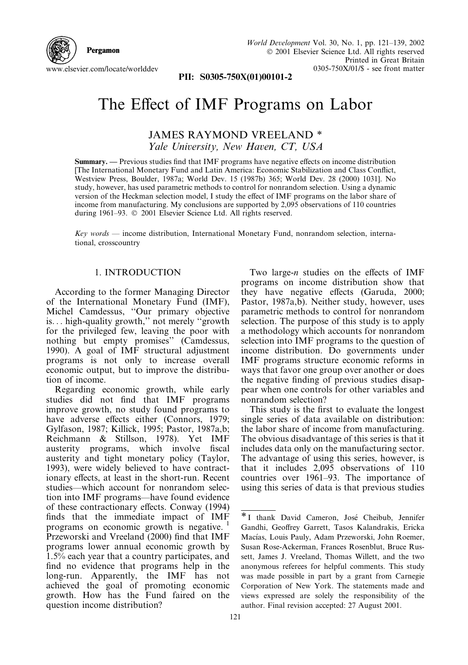

PII: S0305-750X(01)00101-2

## The Effect of IMF Programs on Labor

**JAMES RAYMOND VREELAND \*** Yale University, New Haven, CT, USA

**Summary.** — Previous studies find that IMF programs have negative effects on income distribution [The International Monetary Fund and Latin America: Economic Stabilization and Class Conflict, Westview Press, Boulder, 1987a; World Dev. 15 (1987b) 365; World Dev. 28 (2000) 1031]. No study, however, has used parametric methods to control for nonrandom selection. Using a dynamic version of the Heckman selection model, I study the effect of IMF programs on the labor share of income from manufacturing. My conclusions are supported by 2,095 observations of 110 countries during 1961-93. © 2001 Elsevier Science Ltd. All rights reserved.

 $Key words$  — income distribution. International Monetary Fund, nonrandom selection, international, crosscountry

## 1. INTRODUCTION

According to the former Managing Director of the International Monetary Fund (IMF), Michel Camdessus, "Our primary objective is... high-quality growth," not merely "growth" for the privileged few, leaving the poor with nothing but empty promises" (Camdessus, 1990). A goal of IMF structural adjustment programs is not only to increase overall economic output, but to improve the distribution of income.

Regarding economic growth, while early studies did not find that IMF programs improve growth, no study found programs to have adverse effects either (Connors, 1979; Gylfason, 1987; Killick, 1995; Pastor, 1987a,b; Reichmann & Stillson, 1978). Yet IMF austerity programs, which involve fiscal austerity and tight monetary policy (Taylor, 1993), were widely believed to have contractionary effects, at least in the short-run. Recent studies-which account for nonrandom selection into IMF programs—have found evidence of these contractionary effects. Conway (1994) finds that the immediate impact of IMF programs on economic growth is negative. Przeworski and Vreeland (2000) find that IMF programs lower annual economic growth by 1.5% each year that a country participates, and find no evidence that programs help in the long-run. Apparently, the IMF has not achieved the goal of promoting economic growth. How has the Fund faired on the question income distribution?

Two large- $n$  studies on the effects of IMF programs on income distribution show that they have negative effects (Garuda, 2000; Pastor, 1987a, b). Neither study, however, uses parametric methods to control for nonrandom selection. The purpose of this study is to apply a methodology which accounts for nonrandom selection into IMF programs to the question of income distribution. Do governments under IMF programs structure economic reforms in ways that favor one group over another or does the negative finding of previous studies disappear when one controls for other variables and nonrandom selection?

This study is the first to evaluate the longest single series of data available on distribution: the labor share of income from manufacturing. The obvious disadvantage of this series is that it includes data only on the manufacturing sector. The advantage of using this series, however, is that it includes 2,095 observations of 110 countries over 1961–93. The importance of using this series of data is that previous studies

<sup>\*</sup>I thank David Cameron, José Cheibub, Jennifer Gandhi, Geoffrey Garrett, Tasos Kalandrakis, Ericka Macías, Louis Pauly, Adam Przeworski, John Roemer, Susan Rose-Ackerman, Frances Rosenblut, Bruce Russett, James J. Vreeland, Thomas Willett, and the two anonymous referees for helpful comments. This study was made possible in part by a grant from Carnegie Corporation of New York. The statements made and views expressed are solely the responsibility of the author. Final revision accepted: 27 August 2001.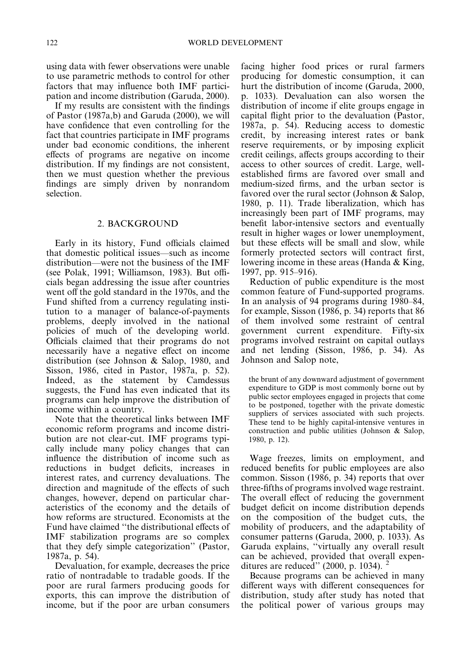using data with fewer observations were unable to use parametric methods to control for other factors that may influence both IMF participation and income distribution (Garuda, 2000).

If my results are consistent with the findings of Pastor (1987a,b) and Garuda (2000), we will have confidence that even controlling for the fact that countries participate in IMF programs under bad economic conditions, the inherent effects of programs are negative on income distribution. If my findings are not consistent, then we must question whether the previous findings are simply driven by nonrandom selection

## 2. BACKGROUND

Early in its history, Fund officials claimed that domestic political issues—such as income distribution—were not the business of the IMF (see Polak, 1991; Williamson, 1983). But officials began addressing the issue after countries went off the gold standard in the 1970s, and the Fund shifted from a currency regulating institution to a manager of balance-of-payments problems, deeply involved in the national policies of much of the developing world. Officials claimed that their programs do not necessarily have a negative effect on income distribution (see Johnson & Salop, 1980, and Sisson, 1986, cited in Pastor, 1987a, p. 52). Indeed, as the statement by Camdessus suggests, the Fund has even indicated that its programs can help improve the distribution of income within a country.

Note that the theoretical links between IMF economic reform programs and income distribution are not clear-cut. IMF programs typically include many policy changes that can influence the distribution of income such as reductions in budget deficits, increases in interest rates, and currency devaluations. The direction and magnitude of the effects of such changes, however, depend on particular characteristics of the economy and the details of how reforms are structured. Economists at the Fund have claimed "the distributional effects of IMF stabilization programs are so complex that they defy simple categorization" (Pastor, 1987a, p. 54).

Devaluation, for example, decreases the price ratio of nontradable to tradable goods. If the poor are rural farmers producing goods for exports, this can improve the distribution of income, but if the poor are urban consumers facing higher food prices or rural farmers producing for domestic consumption, it can hurt the distribution of income (Garuda, 2000, p. 1033). Devaluation can also worsen the distribution of income if elite groups engage in capital flight prior to the devaluation (Pastor, 1987a, p. 54). Reducing access to domestic credit, by increasing interest rates or bank reserve requirements, or by imposing explicit credit ceilings, affects groups according to their access to other sources of credit. Large, wellestablished firms are favored over small and medium-sized firms, and the urban sector is favored over the rural sector (Johnson & Salop, 1980, p. 11). Trade liberalization, which has increasingly been part of IMF programs, may benefit labor-intensive sectors and eventually result in higher wages or lower unemployment, but these effects will be small and slow, while formerly protected sectors will contract first, lowering income in these areas (Handa & King, 1997, pp.  $915-916$ ).

Reduction of public expenditure is the most common feature of Fund-supported programs. In an analysis of 94 programs during 1980-84, for example, Sisson (1986, p. 34) reports that 86 of them involved some restraint of central government current expenditure. Fifty-six programs involved restraint on capital outlays and net lending (Sisson, 1986, p. 34). As Johnson and Salop note,

the brunt of any downward adjustment of government expenditure to GDP is most commonly borne out by public sector employees engaged in projects that come to be postponed, together with the private domestic suppliers of services associated with such projects. These tend to be highly capital-intensive ventures in construction and public utilities (Johnson & Salop, 1980, p. 12).

Wage freezes, limits on employment, and reduced benefits for public employees are also common. Sisson (1986, p. 34) reports that over three-fifths of programs involved wage restraint. The overall effect of reducing the government budget deficit on income distribution depends on the composition of the budget cuts, the mobility of producers, and the adaptability of consumer patterns (Garuda, 2000, p. 1033). As Garuda explains, "virtually any overall result can be achieved, provided that overall expenditures are reduced" (2000, p. 1034).  $^{2}$ 

Because programs can be achieved in many different ways with different consequences for distribution, study after study has noted that the political power of various groups may